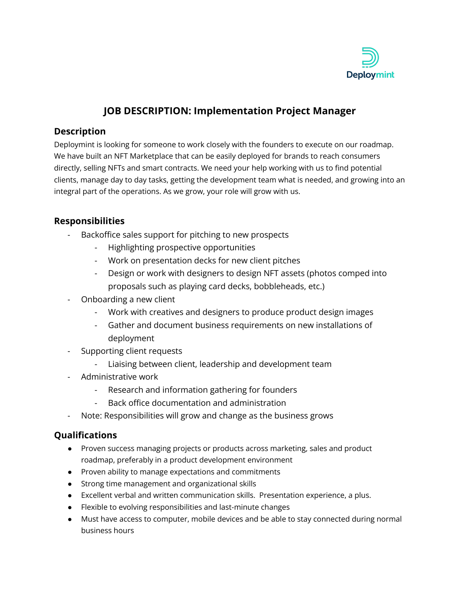

# **JOB DESCRIPTION: Implementation Project Manager**

### **Description**

Deploymint is looking for someone to work closely with the founders to execute on our roadmap. We have built an NFT Marketplace that can be easily deployed for brands to reach consumers directly, selling NFTs and smart contracts. We need your help working with us to find potential clients, manage day to day tasks, getting the development team what is needed, and growing into an integral part of the operations. As we grow, your role will grow with us.

## **Responsibilities**

- Backoffice sales support for pitching to new prospects
	- Highlighting prospective opportunities
	- Work on presentation decks for new client pitches
	- Design or work with designers to design NFT assets (photos comped into proposals such as playing card decks, bobbleheads, etc.)
- Onboarding a new client
	- Work with creatives and designers to produce product design images
	- Gather and document business requirements on new installations of deployment
- Supporting client requests
	- Liaising between client, leadership and development team
- Administrative work
	- Research and information gathering for founders
	- Back office documentation and administration
- Note: Responsibilities will grow and change as the business grows

#### **Qualifications**

- Proven success managing projects or products across marketing, sales and product roadmap, preferably in a product development environment
- Proven ability to manage expectations and commitments
- Strong time management and organizational skills
- Excellent verbal and written communication skills. Presentation experience, a plus.
- Flexible to evolving responsibilities and last-minute changes
- Must have access to computer, mobile devices and be able to stay connected during normal business hours